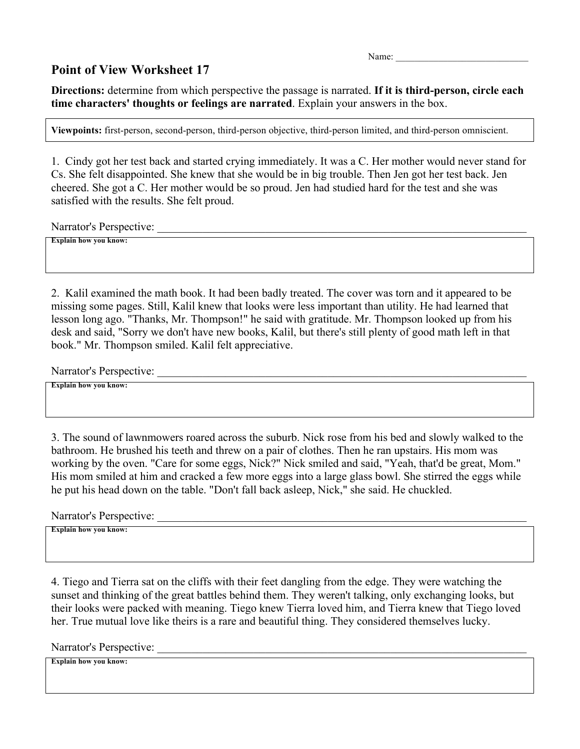Name:

## **Point of View Worksheet 17**

**Directions:** determine from which perspective the passage is narrated. **If it is third-person, circle each time characters' thoughts or feelings are narrated**. Explain your answers in the box.

**Viewpoints:** first-person, second-person, third-person objective, third-person limited, and third-person omniscient.

1. Cindy got her test back and started crying immediately. It was a C. Her mother would never stand for Cs. She felt disappointed. She knew that she would be in big trouble. Then Jen got her test back. Jen cheered. She got a C. Her mother would be so proud. Jen had studied hard for the test and she was satisfied with the results. She felt proud.

Narrator's Perspective:

**Explain how you know:** 

2. Kalil examined the math book. It had been badly treated. The cover was torn and it appeared to be missing some pages. Still, Kalil knew that looks were less important than utility. He had learned that lesson long ago. "Thanks, Mr. Thompson!" he said with gratitude. Mr. Thompson looked up from his desk and said, "Sorry we don't have new books, Kalil, but there's still plenty of good math left in that book." Mr. Thompson smiled. Kalil felt appreciative.

Narrator's Perspective: \_\_\_\_\_\_\_\_\_\_\_\_\_\_\_\_\_\_\_\_\_\_\_\_\_\_\_\_\_\_\_\_\_\_\_\_\_\_\_\_\_\_\_\_\_\_\_\_\_\_\_\_\_\_\_\_\_\_\_\_\_\_\_\_\_

**Explain how you know:** 

3. The sound of lawnmowers roared across the suburb. Nick rose from his bed and slowly walked to the bathroom. He brushed his teeth and threw on a pair of clothes. Then he ran upstairs. His mom was working by the oven. "Care for some eggs, Nick?" Nick smiled and said, "Yeah, that'd be great, Mom." His mom smiled at him and cracked a few more eggs into a large glass bowl. She stirred the eggs while he put his head down on the table. "Don't fall back asleep, Nick," she said. He chuckled.

Narrator's Perspective:

**Explain how you know:** 

4. Tiego and Tierra sat on the cliffs with their feet dangling from the edge. They were watching the sunset and thinking of the great battles behind them. They weren't talking, only exchanging looks, but their looks were packed with meaning. Tiego knew Tierra loved him, and Tierra knew that Tiego loved her. True mutual love like theirs is a rare and beautiful thing. They considered themselves lucky.

Narrator's Perspective: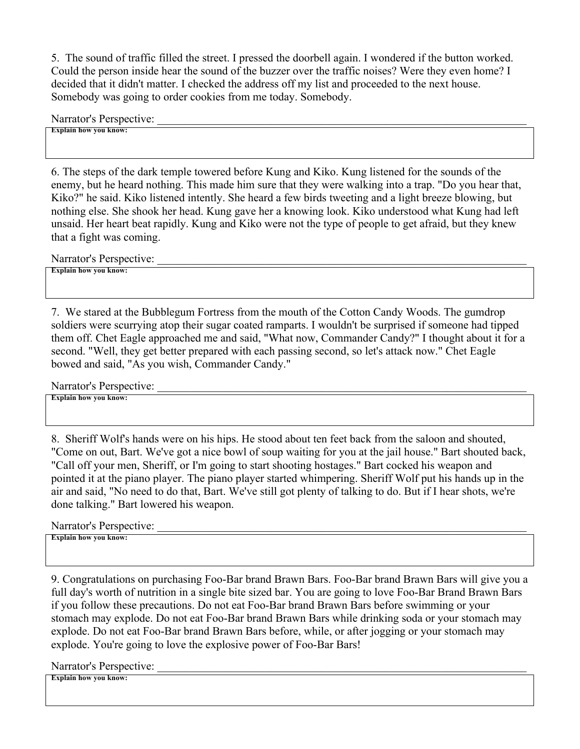5. The sound of traffic filled the street. I pressed the doorbell again. I wondered if the button worked. Could the person inside hear the sound of the buzzer over the traffic noises? Were they even home? I decided that it didn't matter. I checked the address off my list and proceeded to the next house. Somebody was going to order cookies from me today. Somebody.

Narrator's Perspective:

**Explain how you know:** 

6. The steps of the dark temple towered before Kung and Kiko. Kung listened for the sounds of the enemy, but he heard nothing. This made him sure that they were walking into a trap. "Do you hear that, Kiko?" he said. Kiko listened intently. She heard a few birds tweeting and a light breeze blowing, but nothing else. She shook her head. Kung gave her a knowing look. Kiko understood what Kung had left unsaid. Her heart beat rapidly. Kung and Kiko were not the type of people to get afraid, but they knew that a fight was coming.

Narrator's Perspective:

**Explain how you know:** 

7. We stared at the Bubblegum Fortress from the mouth of the Cotton Candy Woods. The gumdrop soldiers were scurrying atop their sugar coated ramparts. I wouldn't be surprised if someone had tipped them off. Chet Eagle approached me and said, "What now, Commander Candy?" I thought about it for a second. "Well, they get better prepared with each passing second, so let's attack now." Chet Eagle bowed and said, "As you wish, Commander Candy."

Narrator's Perspective:

**Explain how you know:** 

8. Sheriff Wolf's hands were on his hips. He stood about ten feet back from the saloon and shouted, "Come on out, Bart. We've got a nice bowl of soup waiting for you at the jail house." Bart shouted back, "Call off your men, Sheriff, or I'm going to start shooting hostages." Bart cocked his weapon and pointed it at the piano player. The piano player started whimpering. Sheriff Wolf put his hands up in the air and said, "No need to do that, Bart. We've still got plenty of talking to do. But if I hear shots, we're done talking." Bart lowered his weapon.

Narrator's Perspective:

**Explain how you know:** 

9. Congratulations on purchasing Foo-Bar brand Brawn Bars. Foo-Bar brand Brawn Bars will give you a full day's worth of nutrition in a single bite sized bar. You are going to love Foo-Bar Brand Brawn Bars if you follow these precautions. Do not eat Foo-Bar brand Brawn Bars before swimming or your stomach may explode. Do not eat Foo-Bar brand Brawn Bars while drinking soda or your stomach may explode. Do not eat Foo-Bar brand Brawn Bars before, while, or after jogging or your stomach may explode. You're going to love the explosive power of Foo-Bar Bars!

Narrator's Perspective: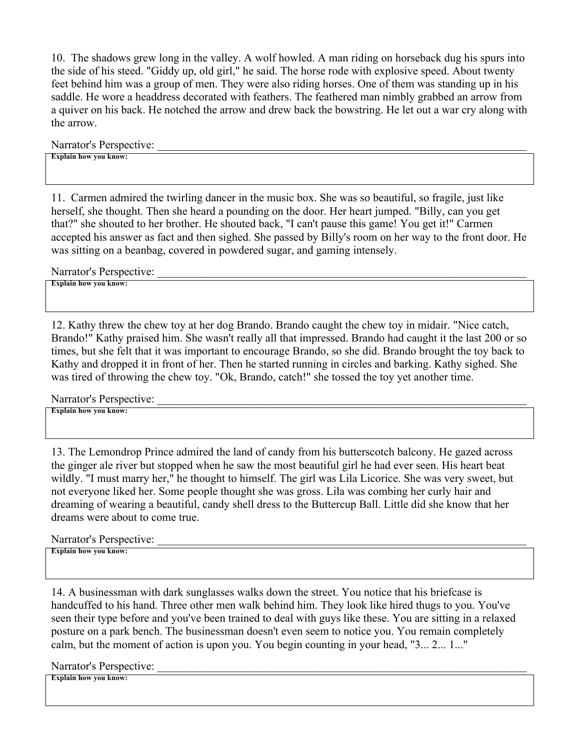10. The shadows grew long in the valley. A wolf howled. A man riding on horseback dug his spurs into the side of his steed. "Giddy up, old girl," he said. The horse rode with explosive speed. About twenty feet behind him was a group of men. They were also riding horses. One of them was standing up in his saddle. He wore a headdress decorated with feathers. The feathered man nimbly grabbed an arrow from a quiver on his back. He notched the arrow and drew back the bowstring. He let out a war cry along with the arrow.

Narrator's Perspective:

**Explain how you know:** 

11. Carmen admired the twirling dancer in the music box. She was so beautiful, so fragile, just like herself, she thought. Then she heard a pounding on the door. Her heart jumped. "Billy, can you get that?" she shouted to her brother. He shouted back, "I can't pause this game! You get it!" Carmen accepted his answer as fact and then sighed. She passed by Billy's room on her way to the front door. He was sitting on a beanbag, covered in powdered sugar, and gaming intensely.

Narrator's Perspective:

**Explain how you know:** 

12. Kathy threw the chew toy at her dog Brando. Brando caught the chew toy in midair. "Nice catch, Brando!" Kathy praised him. She wasn't really all that impressed. Brando had caught it the last 200 or so times, but she felt that it was important to encourage Brando, so she did. Brando brought the toy back to Kathy and dropped it in front of her. Then he started running in circles and barking. Kathy sighed. She was tired of throwing the chew toy. "Ok, Brando, catch!" she tossed the toy yet another time.

Narrator's Perspective:

**Explain how you know:** 

13. The Lemondrop Prince admired the land of candy from his butterscotch balcony. He gazed across the ginger ale river but stopped when he saw the most beautiful girl he had ever seen. His heart beat wildly. "I must marry her," he thought to himself. The girl was Lila Licorice. She was very sweet, but not everyone liked her. Some people thought she was gross. Lila was combing her curly hair and dreaming of wearing a beautiful, candy shell dress to the Buttercup Ball. Little did she know that her dreams were about to come true.

Narrator's Perspective:

**Explain how you know:** 

14. A businessman with dark sunglasses walks down the street. You notice that his briefcase is handcuffed to his hand. Three other men walk behind him. They look like hired thugs to you. You've seen their type before and you've been trained to deal with guys like these. You are sitting in a relaxed posture on a park bench. The businessman doesn't even seem to notice you. You remain completely calm, but the moment of action is upon you. You begin counting in your head, "3... 2... 1..."

Narrator's Perspective: